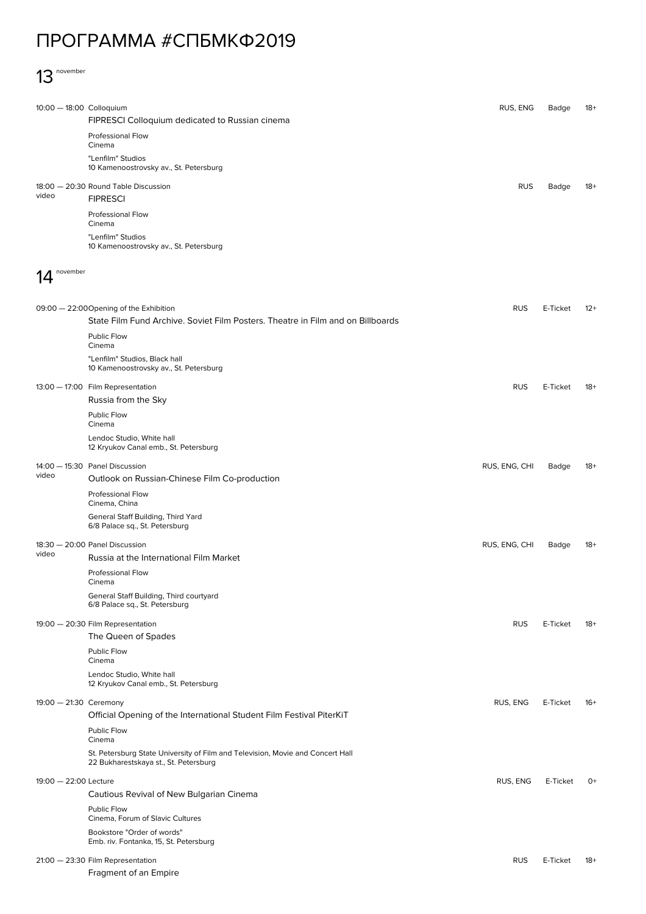## ПРОГРАММА #СПБМКФ2019

## 13 november

| 10:00 - 18:00 Colloquium          |                                                                                                                         | RUS, ENG      | Badge    | $18+$ |
|-----------------------------------|-------------------------------------------------------------------------------------------------------------------------|---------------|----------|-------|
|                                   | FIPRESCI Colloquium dedicated to Russian cinema                                                                         |               |          |       |
|                                   | Professional Flow<br>Cinema                                                                                             |               |          |       |
|                                   | "Lenfilm" Studios<br>10 Kamenoostrovsky av., St. Petersburg                                                             |               |          |       |
|                                   | 18:00 - 20:30 Round Table Discussion                                                                                    | <b>RUS</b>    | Badge    | $18+$ |
| video                             | <b>FIPRESCI</b>                                                                                                         |               |          |       |
|                                   | Professional Flow<br>Cinema                                                                                             |               |          |       |
|                                   | "Lenfilm" Studios<br>10 Kamenoostrovsky av., St. Petersburg                                                             |               |          |       |
|                                   |                                                                                                                         |               |          |       |
| november                          |                                                                                                                         |               |          |       |
|                                   | 09:00 - 22:00 Opening of the Exhibition                                                                                 | <b>RUS</b>    | E-Ticket | $12+$ |
|                                   | State Film Fund Archive. Soviet Film Posters. Theatre in Film and on Billboards                                         |               |          |       |
|                                   | Public Flow<br>Cinema                                                                                                   |               |          |       |
|                                   | "Lenfilm" Studios, Black hall<br>10 Kamenoostrovsky av., St. Petersburg                                                 |               |          |       |
|                                   | 13:00 - 17:00 Film Representation                                                                                       | <b>RUS</b>    | E-Ticket | $18+$ |
|                                   | Russia from the Sky                                                                                                     |               |          |       |
|                                   | Public Flow<br>Cinema                                                                                                   |               |          |       |
|                                   | Lendoc Studio, White hall<br>12 Kryukov Canal emb., St. Petersburg                                                      |               |          |       |
|                                   | 14:00 - 15:30 Panel Discussion                                                                                          | RUS, ENG, CHI | Badge    | $18+$ |
| video                             | Outlook on Russian-Chinese Film Co-production                                                                           |               |          |       |
|                                   | Professional Flow<br>Cinema, China                                                                                      |               |          |       |
|                                   | General Staff Building, Third Yard<br>6/8 Palace sq., St. Petersburg                                                    |               |          |       |
|                                   | 18:30 - 20:00 Panel Discussion                                                                                          | RUS, ENG, CHI | Badge    | $18+$ |
| video                             | Russia at the International Film Market                                                                                 |               |          |       |
|                                   | <b>Professional Flow</b><br>Cinema                                                                                      |               |          |       |
|                                   | General Staff Building, Third courtyard<br>6/8 Palace sq., St. Petersburg                                               |               |          |       |
| 19:00 - 20:30 Film Representation |                                                                                                                         | <b>RUS</b>    | E-Ticket | $18+$ |
|                                   | The Queen of Spades                                                                                                     |               |          |       |
|                                   | Public Flow<br>Cinema                                                                                                   |               |          |       |
|                                   | Lendoc Studio, White hall<br>12 Kryukov Canal emb., St. Petersburg                                                      |               |          |       |
| 19:00 - 21:30 Ceremony            |                                                                                                                         | RUS, ENG      | E-Ticket | $16+$ |
|                                   | Official Opening of the International Student Film Festival PiterKiT<br>Public Flow                                     |               |          |       |
|                                   | Cinema                                                                                                                  |               |          |       |
|                                   | St. Petersburg State University of Film and Television, Movie and Concert Hall<br>22 Bukharestskaya st., St. Petersburg |               |          |       |
| 19:00 - 22:00 Lecture             |                                                                                                                         | RUS, ENG      | E-Ticket | $O+$  |
|                                   | Cautious Revival of New Bulgarian Cinema                                                                                |               |          |       |
|                                   | Public Flow<br>Cinema, Forum of Slavic Cultures                                                                         |               |          |       |
|                                   | Bookstore "Order of words"<br>Emb. riv. Fontanka, 15, St. Petersburg                                                    |               |          |       |
|                                   | 21:00 - 23:30 Film Representation                                                                                       | <b>RUS</b>    | E-Ticket | $18+$ |
|                                   | Fragment of an Empire                                                                                                   |               |          |       |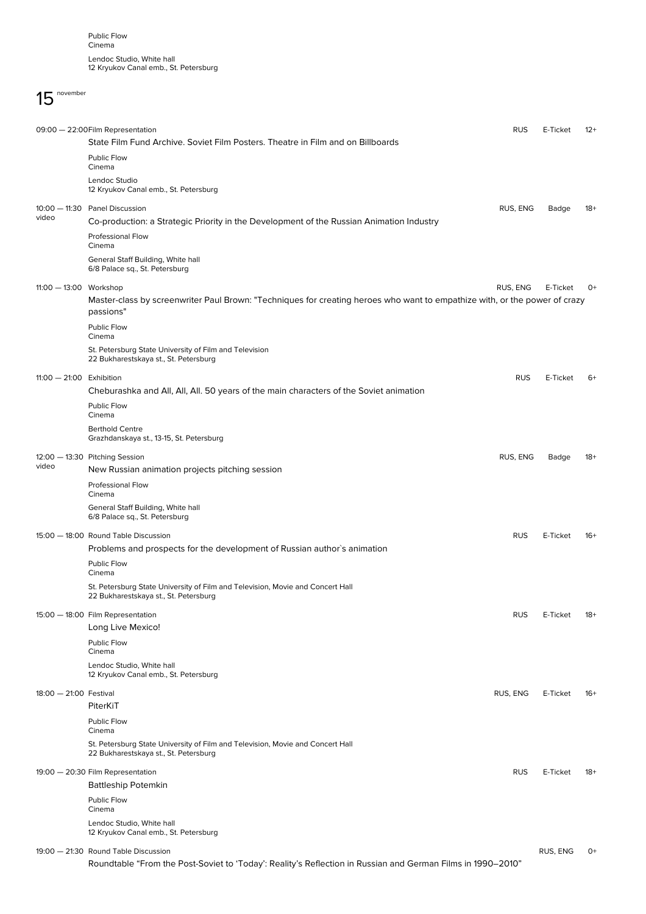## 15 november

|                            | 09:00 - 22:00 Film Representation<br>State Film Fund Archive. Soviet Film Posters. Theatre in Film and on Billboards                    | <b>RUS</b> | E-Ticket | $12+$ |
|----------------------------|-----------------------------------------------------------------------------------------------------------------------------------------|------------|----------|-------|
|                            | Public Flow<br>Cinema                                                                                                                   |            |          |       |
|                            | Lendoc Studio<br>12 Kryukov Canal emb., St. Petersburg                                                                                  |            |          |       |
| video                      | 10:00 - 11:30 Panel Discussion                                                                                                          | RUS, ENG   | Badge    | $18+$ |
|                            | Co-production: a Strategic Priority in the Development of the Russian Animation Industry                                                |            |          |       |
|                            | <b>Professional Flow</b><br>Cinema                                                                                                      |            |          |       |
|                            | General Staff Building, White hall<br>6/8 Palace sq., St. Petersburg                                                                    |            |          |       |
| 11:00 - 13:00 Workshop     |                                                                                                                                         | RUS, ENG   | E-Ticket | 0+    |
|                            | Master-class by screenwriter Paul Brown: "Techniques for creating heroes who want to empathize with, or the power of crazy<br>passions" |            |          |       |
|                            | Public Flow<br>Cinema                                                                                                                   |            |          |       |
|                            | St. Petersburg State University of Film and Television<br>22 Bukharestskaya st., St. Petersburg                                         |            |          |       |
| $11:00 - 21:00$ Exhibition |                                                                                                                                         | <b>RUS</b> | E-Ticket | $6+$  |
|                            | Cheburashka and All, All, All. 50 years of the main characters of the Soviet animation                                                  |            |          |       |
|                            | Public Flow<br>Cinema                                                                                                                   |            |          |       |
|                            | <b>Berthold Centre</b><br>Grazhdanskaya st., 13-15, St. Petersburg                                                                      |            |          |       |
|                            | 12:00 - 13:30 Pitching Session                                                                                                          | RUS, ENG   | Badge    | $18+$ |
| video                      | New Russian animation projects pitching session                                                                                         |            |          |       |
|                            | <b>Professional Flow</b><br>Cinema                                                                                                      |            |          |       |
|                            | General Staff Building, White hall<br>6/8 Palace sq., St. Petersburg                                                                    |            |          |       |
|                            | 15:00 - 18:00 Round Table Discussion                                                                                                    | <b>RUS</b> | E-Ticket | $16+$ |
|                            | Problems and prospects for the development of Russian author's animation                                                                |            |          |       |
|                            | Public Flow<br>Cinema                                                                                                                   |            |          |       |
|                            | St. Petersburg State University of Film and Television, Movie and Concert Hall<br>22 Bukharestskaya st., St. Petersburg                 |            |          |       |
|                            | 15:00 - 18:00 Film Representation                                                                                                       | <b>RUS</b> | E-Ticket | $18+$ |
|                            | Long Live Mexico!                                                                                                                       |            |          |       |
|                            | Public Flow<br>Cinema                                                                                                                   |            |          |       |
|                            | Lendoc Studio, White hall<br>12 Kryukov Canal emb., St. Petersburg                                                                      |            |          |       |
| 18:00 - 21:00 Festival     |                                                                                                                                         | RUS, ENG   | E-Ticket | 16+   |
|                            | PiterKiT                                                                                                                                |            |          |       |
|                            | Public Flow<br>Cinema                                                                                                                   |            |          |       |
|                            | St. Petersburg State University of Film and Television, Movie and Concert Hall<br>22 Bukharestskaya st., St. Petersburg                 |            |          |       |
|                            |                                                                                                                                         |            |          |       |
|                            | 19:00 - 20:30 Film Representation<br><b>Battleship Potemkin</b>                                                                         | <b>RUS</b> | E-Ticket | $18+$ |
|                            | Public Flow                                                                                                                             |            |          |       |
|                            | Cinema                                                                                                                                  |            |          |       |
|                            | Lendoc Studio, White hall<br>12 Kryukov Canal emb., St. Petersburg                                                                      |            |          |       |
|                            | 19:00 - 21:30 Round Table Discussion                                                                                                    |            | RUS, ENG | $O+$  |

Roundtable "From the Post-Soviet to 'Today': Reality's Reflection in Russian and German Films in 1990–2010"